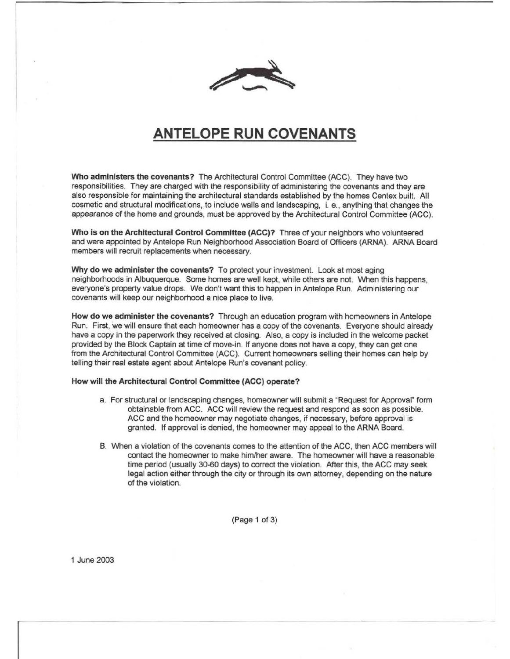

## **ANTELOPE RUN COVENANTS**

Who administers the covenants? The Architectural Control Committee (ACC). They have two responsibilities. They are charged with the responsibility of administering the covenants and they are also responsible for maintaining the architectural standards established by the homes Centex built. All cosmetic and structural modifications, to include walls and landscaping, i. e., anything that changes the appearance of the home and grounds, must be approved by the Architectural Control Committee (ACC).

Who is on the Architectural Control Committee (ACC)? Three of your neighbors who volunteered and were appointed by Antelope Run Neighborhood Association Board of Officers (ARNA). ARNA Board members will recruit replacements when necessary.

Why do we administer the covenants? To protect your investment. Look at most aging neighborhoods in Albuquerque. Some homes are well kept, while others are not. When this happens, everyone's property value drops. We don't want this to happen in Antelope Run. Administering our covenants will keep our neighborhood a nice place to live.

How do we administer the covenants? Through an education program with homeowners in Antelope Run. First, we will ensure that each homeowner has a copy of the covenants. Everyone should already have a copy in the paperwork they received at closing. Also, a copy is included in the welcome packet provided by the Block Captain at time of move-in. If anyone does not have a copy, they can get one from the Architectural Control Committee (ACC). Current homeowners selling their homes can help by telling their real estate agent about Antelope Run's covenant policy.

## How will the Architectural Control Committee (ACC) operate?

- a. For structural or landscaping changes, homeowner will submit a "Request for Approval" form obtainable from ACC. ACC will review the request and respond as soon as possible. ACC and the homeowner may negotiate changes, if necessary, before approval is granted. If approval is denied, the homeowner may appeal to the ARNA Board.
- B. When a violation of the covenants comes to the attention of the ACC, then ACC members will contact the homeowner to make him/her aware. The homeowner will have a reasonable time period (usually 30-60 days) to correct the violation. After this, the ACC may seek legal action either through the city or through its own attomey, depending on the nature of the violation.

(Page 1 of 3)

1 June 2003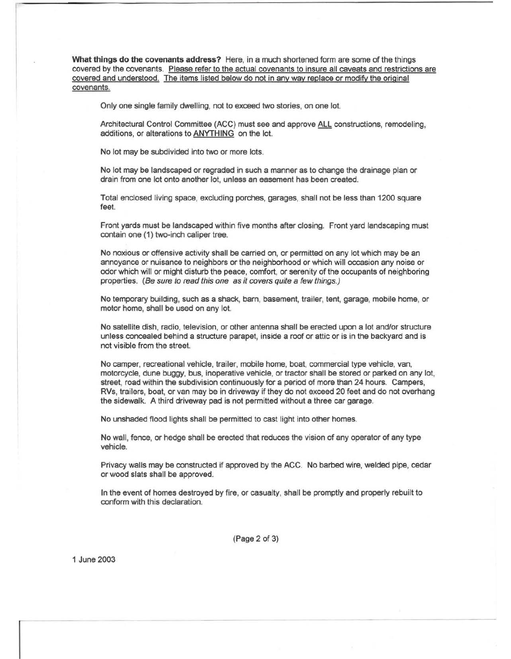**What things do the covenants address?** Here, in a much shortened form are some of the things covered by the covenants. Please refer to the actual covenants to insure all caveats and restrictions are covered and understood. The items listed below do not in any way replace or modify the original covenants.

Only one single family dwelling, not to exceed two stories, on one lot.

Architectural Control Committee (ACC) must see and approve ALL constructions, remodeling, additions, or alterations to ANYTHING on the lot.

No lot may be subdivided into two or more lots.

No lot may be landscaped or regraded in such a manner as to change the drainage plan or drain from one lot onto another lot, unless an easement has been created.

Total enclosed living space, excluding porches, garages, shall not be less than 1200 square feet.

Front yards must be landscaped within five months after closing. Front yard landscaping must contain one (1) two-inch caliper tree.

No noxious or offensive activity shall be carried on, or permitted on any lot which may be an annoyance or nuisance to neighbors or the neighborhood or which will occasion any noise or odor which will or might disturb the peace, comfort, or serenity of the occupants of neighboring properties. (Be sure to read this one as it covers quite a few things.)

No temporary building, such as a shack, bam, basement, trailer, tent, garage, mobile home, or motor home, shall be used on any lot.

No satellite dish, radio, television, or other antenna shall be erected upon a lot and/or structure unless concealed behind a structure parapet, inside a roof or attic or is in the backyard and is not visible from the street.

No camper, recreational vehicle, trailer, mobile home, boat, commercial type vehicle, van, motorcycle, dune buggy, bus, inoperative vehicle, or tractor shall be stored or parked on any lot, street, road within the subdivision continuously for a period of more than 24 hours. Campers, RVs, trailers, boat, or van may be in driveway if they do not exceed 20 feet and do not overhang the sidewalk. A third driveway pad is not permitted without a three car garage.

No unshaded flood lights shall be permitted to cast light into other homes.

No wall, fence, or hedge shall be erected that reduces the vision of any operator of any type vehicle.

Privacy walls may be constructed if approved by the ACC. No barbed wire, welded pipe, cedar or wood slats shall be approved.

In the event of homes destroyed by fire, or casualty, shall be promptly and properly rebuilt to conform with this declaration.

(Page 2 of 3)

1 June 2003